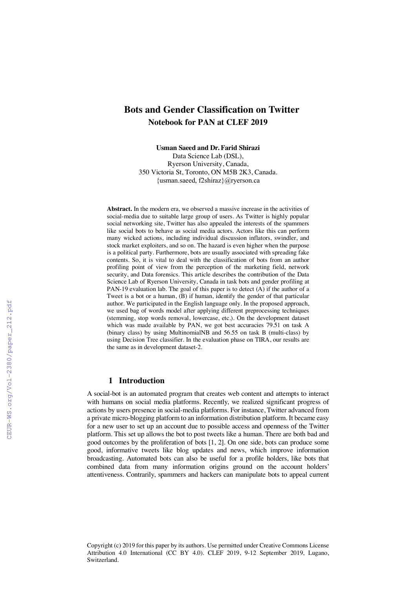# **Bots and Gender Classification on Twitter Notebook for PAN at CLEF 2019**

**Usman Saeed and Dr. Farid Shirazi**

Data Science Lab (DSL), Ryerson University, Canada, 350 Victoria St, Toronto, ON M5B 2K3, Canada. {usman.saeed, f2shiraz}@ryerson.ca

**Abstract.** In the modern era, we observed a massive increase in the activities of social-media due to suitable large group of users. As Twitter is highly popular social networking site, Twitter has also appealed the interests of the spammers like social bots to behave as social media actors. Actors like this can perform many wicked actions, including individual discussion inflators, swindler, and stock market exploiters, and so on. The hazard is even higher when the purpose is a political party. Furthermore, bots are usually associated with spreading fake contents. So, it is vital to deal with the classification of bots from an author profiling point of view from the perception of the marketing field, network security, and Data forensics. This article describes the contribution of the Data Science Lab of Ryerson University, Canada in task bots and gender profiling at PAN-19 evaluation lab. The goal of this paper is to detect (A) if the author of a Tweet is a bot or a human, (B) if human, identify the gender of that particular author. We participated in the English language only. In the proposed approach, we used bag of words model after applying different preprocessing techniques (stemming, stop words removal, lowercase, etc.). On the development dataset which was made available by PAN, we got best accuracies 79.51 on task A (binary class) by using MultinomialNB and 56.55 on task B (multi-class) by using Decision Tree classifier. In the evaluation phase on TIRA, our results are the same as in development dataset-2.

## **1 Introduction**

A social-bot is an automated program that creates web content and attempts to interact with humans on social media platforms. Recently, we realized significant progress of actions by users presence in social-media platforms. For instance, Twitter advanced from a private micro-blogging platform to an information distribution platform. It became easy for a new user to set up an account due to possible access and openness of the Twitter platform. This set up allows the bot to post tweets like a human. There are both bad and good outcomes by the proliferation of bots [1, 2]. On one side, bots can produce some good, informative tweets like blog updates and news, which improve information broadcasting. Automated bots can also be useful for a profile holders, like bots that combined data from many information origins ground on the account holders' attentiveness. Contrarily, spammers and hackers can manipulate bots to appeal current

Copyright (c) 2019 for this paper by its authors. Use permitted under Creative Commons License Attribution 4.0 International (CC BY 4.0). CLEF 2019, 9-12 September 2019, Lugano, Switzerland.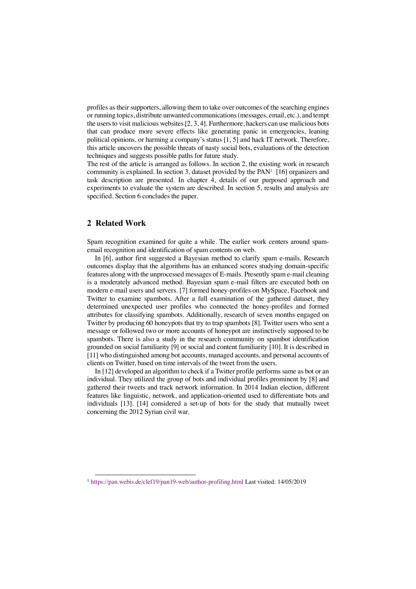profiles as their supporters, allowing them to take over outcomes of the searching engines or running topics, distribute unwanted communications (messages, email, etc.), and tempt the users to visit malicious websites [2, 3, 4]. Furthermore, hackers can use malicious bots that can produce more severe effects like generating panic in emergencies, leaning political opinions, or harming a company's status [1, 5] and hack IT network. Therefore, this article uncovers the possible threats of nasty social bots, evaluations of the detection techniques and suggests possible paths for future study.

The rest of the article is arranged as follows. In section 2, the existing work in research community is explained. In section 3, dataset provided by the PAN<sup>1</sup> [16] organizers and task description are presented. In chapter 4, details of our purposed approach and experiments to evaluate the system are described. In section 5, results and analysis are specified. Section 6 concludes the paper.

#### **2 Related Work**

Spam recognition examined for quite a while. The earlier work centers around spamemail recognition and identification of spam contents on web.

In [6], author first suggested a Bayesian method to clarify spam e-mails. Research outcomes display that the algorithms has an enhanced scores studying domain-specific features along with the unprocessed messages of E-mails. Presently spam e-mail cleaning is a moderately advanced method. Bayesian spam e-mail filters are executed both on modern e-mail users and servers. [7] formed honey-profiles on MySpace, Facebook and Twitter to examine spambots. After a full examination of the gathered dataset, they determined unexpected user profiles who connected the honey-profiles and formed attributes for classifying spambots. Additionally, research of seven months engaged on Twitter by producing 60 honeypots that try to trap spambots [8]. Twitter users who sent a message or followed two or more accounts of honeypot are instinctively supposed to be spambots. There is also a study in the research community on spambot identification grounded on social familiarity [9] or social and content familiarity [10]. It is described in [11] who distinguished among bot accounts, managed accounts, and personal accounts of clients on Twitter, based on time intervals of the tweet from the users.

In [12] developed an algorithm to check if a Twitter profile performs same as bot or an individual. They utilized the group of bots and individual profiles prominent by [8] and gathered their tweets and track network information. In 2014 Indian election, different features like linguistic, network, and application-oriented used to differentiate bots and individuals [13]. [14] considered a set-up of bots for the study that mutually tweet concerning the 2012 Syrian civil war.

 <sup>1</sup> https://pan.webis.de/clef19/pan19-web/author-profiling.html Last visited: 14/05/2019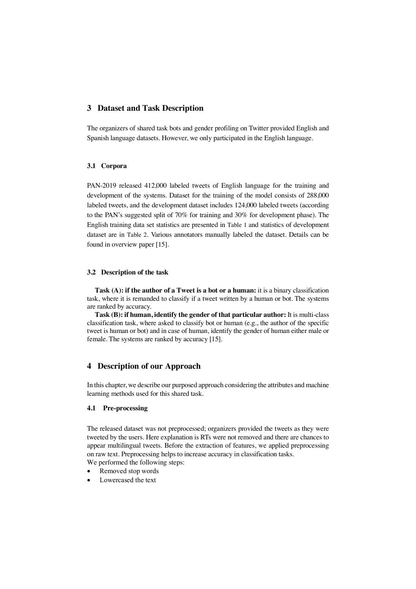#### **3 Dataset and Task Description**

The organizers of shared task bots and gender profiling on Twitter provided English and Spanish language datasets. However, we only participated in the English language.

#### **3.1 Corpora**

PAN-2019 released 412,000 labeled tweets of English language for the training and development of the systems. Dataset for the training of the model consists of 288,000 labeled tweets, and the development dataset includes 124,000 labeled tweets (according to the PAN's suggested split of 70% for training and 30% for development phase). The English training data set statistics are presented in Table 1 and statistics of development dataset are in Table 2. Various annotators manually labeled the dataset. Details can be found in overview paper [15].

#### **3.2 Description of the task**

**Task (A): if the author of a Tweet is a bot or a human:** it is a binary classification task, where it is remanded to classify if a tweet written by a human or bot. The systems are ranked by accuracy.

**Task (B): if human, identify the gender of that particular author:** It is multi-class classification task, where asked to classify bot or human (e.g., the author of the specific tweet is human or bot) and in case of human, identify the gender of human either male or female. The systems are ranked by accuracy [15].

## **4 Description of our Approach**

In this chapter, we describe our purposed approach considering the attributes and machine learning methods used for this shared task.

## **4.1 Pre-processing**

The released dataset was not preprocessed; organizers provided the tweets as they were tweeted by the users. Here explanation is RTs were not removed and there are chances to appear multilingual tweets. Before the extraction of features, we applied preprocessing on raw text. Preprocessing helps to increase accuracy in classification tasks.

We performed the following steps:

- Removed stop words
- Lowercased the text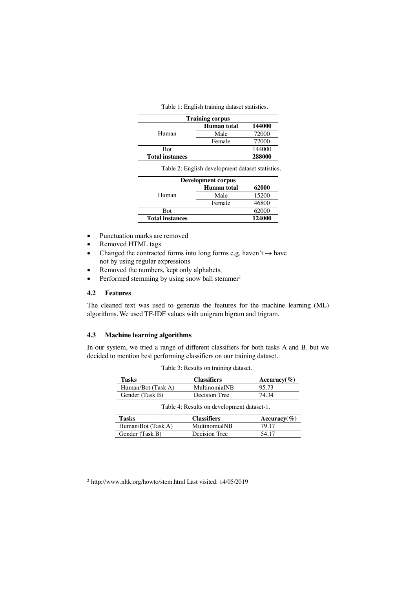| Table 1: English training dataset statistics. |  |  |
|-----------------------------------------------|--|--|
|-----------------------------------------------|--|--|

| <b>Training corpus</b> |                    |        |  |
|------------------------|--------------------|--------|--|
| Human                  | <b>Human</b> total | 144000 |  |
|                        | Male               | 72000  |  |
|                        | Female             | 72000  |  |
| <b>Bot</b>             |                    | 144000 |  |
| <b>Total instances</b> |                    | 288000 |  |

Table 2: English development dataset statistics.

| Development corpus     |             |        |  |
|------------------------|-------------|--------|--|
| Human                  | Human total | 62000  |  |
|                        | Male        | 15200  |  |
|                        | Female      | 46800  |  |
| <b>Bot</b>             |             | 62000  |  |
| <b>Total instances</b> |             | 124000 |  |

- Punctuation marks are removed
- Removed HTML tags
- Changed the contracted forms into long forms e.g. haven't  $\rightarrow$  have not by using regular expressions
- Removed the numbers, kept only alphabets,
- Performed stemming by using snow ball stemmer<sup>2</sup>

#### **4.2 Features**

The cleaned text was used to generate the features for the machine learning (ML) algorithms. We used TF-IDF values with unigram bigram and trigram.

### **4.3 Machine learning algorithms**

In our system, we tried a range of different classifiers for both tasks A and B, but we decided to mention best performing classifiers on our training dataset.

| <b>Tasks</b>                               | <b>Classifiers</b> | $Accuracy(\%)$   |  |
|--------------------------------------------|--------------------|------------------|--|
| Human/Bot (Task A)                         | MultinomialNB      | 95.73            |  |
| Gender (Task B)                            | Decision Tree      | 74.34            |  |
| Table 4: Results on development dataset-1. |                    |                  |  |
| Tasks                                      | <b>Classifiers</b> | Accuracy $(\% )$ |  |
| Human/Bot (Task A)                         | MultinomialNB      | 79.17            |  |
| Gender (Task B)                            | Decision Tree      | 54.17            |  |

Table 3: Results on training dataset.

 <sup>2</sup> http://www.nltk.org/howto/stem.html Last visited: 14/05/2019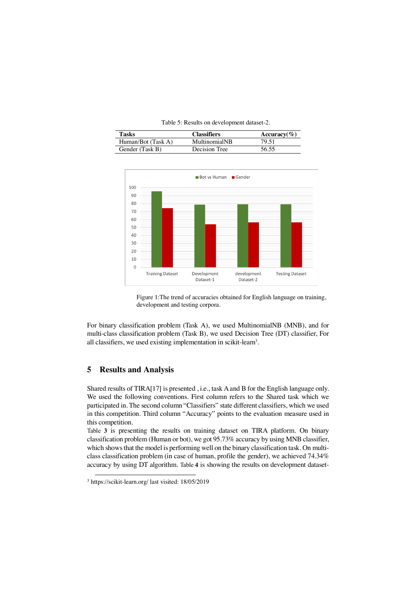Table 5: Results on development dataset-2.

| Tasks                | <b>Classifiers</b> | Accuracy $(\% )$ |
|----------------------|--------------------|------------------|
| $Human/Bot$ (Task A) | MultinomialNB      | 79 51            |
| Gender (Task B)      | Decision Tree      | 56 55            |



Figure 1:The trend of accuracies obtained for English language on training, development and testing corpora.

For binary classification problem (Task A), we used MultinomialNB (MNB), and for multi-class classification problem (Task B), we used Decision Tree (DT) classifier, For all classifiers, we used existing implementation in scikit-learn<sup>3</sup>.

## **5 Results and Analysis**

Shared results of TIRA[17] is presented , i.e., task A and B for the English language only. We used the following conventions. First column refers to the Shared task which we participated in. The second column "Classifiers" state different classifiers, which we used in this competition. Third column "Accuracy" points to the evaluation measure used in this competition.

Table **3** is presenting the results on training dataset on TIRA platform. On binary classification problem (Human or bot), we got 95.73% accuracy by using MNB classifier, which shows that the model is performing well on the binary classification task. On multiclass classification problem (in case of human, profile the gender), we achieved 74.34% accuracy by using DT algorithm. Table **4** is showing the results on development dataset-

 <sup>3</sup> https://scikit-learn.org/ last visited: 18/05/2019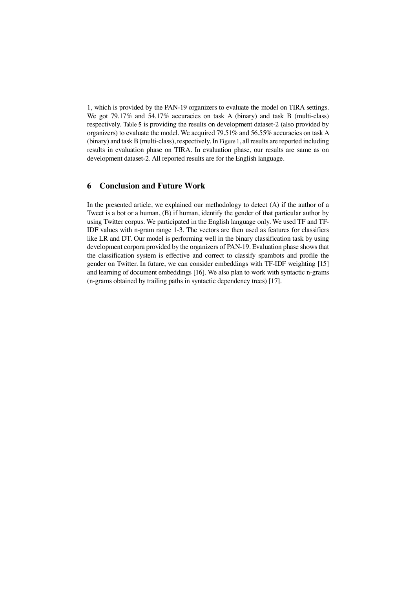1, which is provided by the PAN-19 organizers to evaluate the model on TIRA settings. We got 79.17% and 54.17% accuracies on task A (binary) and task B (multi-class) respectively. Table **5** is providing the results on development dataset-2 (also provided by organizers) to evaluate the model. We acquired 79.51% and 56.55% accuracies on task A (binary) and task B (multi-class), respectively. In Figure 1, all results are reported including results in evaluation phase on TIRA. In evaluation phase, our results are same as on development dataset-2. All reported results are for the English language.

#### **6 Conclusion and Future Work**

In the presented article, we explained our methodology to detect (A) if the author of a Tweet is a bot or a human, (B) if human, identify the gender of that particular author by using Twitter corpus. We participated in the English language only. We used TF and TF-IDF values with n-gram range 1-3. The vectors are then used as features for classifiers like LR and DT. Our model is performing well in the binary classification task by using development corpora provided by the organizers of PAN-19. Evaluation phase showsthat the classification system is effective and correct to classify spambots and profile the gender on Twitter. In future, we can consider embeddings with TF-IDF weighting [15] and learning of document embeddings [16]. We also plan to work with syntactic n-grams (n-grams obtained by trailing paths in syntactic dependency trees) [17].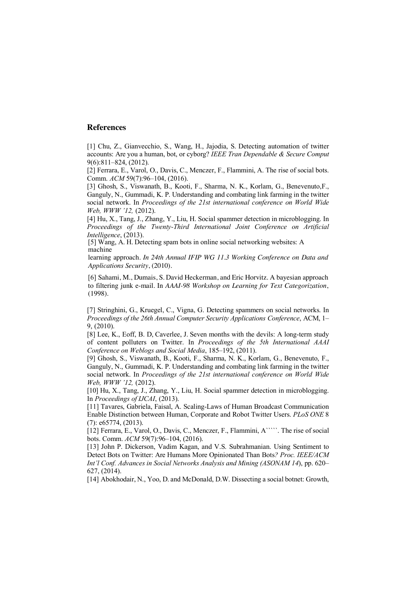## **References**

[1] Chu, Z., Gianvecchio, S., Wang, H., Jajodia, S. Detecting automation of twitter accounts: Are you a human, bot, or cyborg? *IEEE Tran Dependable & Secure Comput*  9(6):811–824, (2012).

[2] Ferrara, E., Varol, O., Davis, C., Menczer, F., Flammini, A. The rise of social bots. Comm. *ACM* 59(7):96–104, (2016).

[3] Ghosh, S., Viswanath, B., Kooti, F., Sharma, N. K., Korlam, G., Benevenuto,F., Ganguly, N., Gummadi, K. P. Understanding and combating link farming in the twitter social network. In *Proceedings of the 21st international conference on World Wide Web, WWW '12,* (2012).

[4] Hu, X., Tang, J., Zhang, Y., Liu, H. Social spammer detection in microblogging. In *Proceedings of the Twenty-Third International Joint Conference on Artificial Intelligence*, (2013).

[5] Wang, A. H. Detecting spam bots in online social networking websites: A machine

learning approach. *In 24th Annual IFIP WG 11.3 Working Conference on Data and Applications Security*, (2010).

[6] Sahami, M., Dumais, S. David Heckerman, and Eric Horvitz. A bayesian approach to filtering junk e-mail. In *AAAI-98 Workshop on Learning for Text Categorization*, (1998).

[7] Stringhini, G., Kruegel, C., Vigna, G. Detecting spammers on social networks. In *Proceedings of the 26th Annual Computer Security Applications Conference*, ACM, 1– 9, (2010).

[8] Lee, K., Eoff, B. D, Caverlee, J. Seven months with the devils: A long-term study of content polluters on Twitter. In *Proceedings of the 5th International AAAI Conference on Weblogs and Social Media*, 185–192, (2011).

[9] Ghosh, S., Viswanath, B., Kooti, F., Sharma, N. K., Korlam, G., Benevenuto, F., Ganguly, N., Gummadi, K. P. Understanding and combating link farming in the twitter social network. In *Proceedings of the 21st international conference on World Wide Web, WWW '12,* (2012).

[10] Hu, X., Tang, J., Zhang, Y., Liu, H. Social spammer detection in microblogging. In *Proceedings of IJCAI*, (2013).

[11] Tavares, Gabriela, Faisal, A. Scaling-Laws of Human Broadcast Communication Enable Distinction between Human, Corporate and Robot Twitter Users. *PLoS ONE* 8 (7): e65774, (2013).

[12] Ferrara, E., Varol, O., Davis, C., Menczer, F., Flammini, A````. The rise of social bots. Comm. *ACM* 59(7):96–104, (2016).

[13] John P. Dickerson, Vadim Kagan, and V.S. Subrahmanian. Using Sentiment to Detect Bots on Twitter: Are Humans More Opinionated Than Bots*? Proc. IEEE/ACM Int'l Conf. Advances in Social Networks Analysis and Mining (ASONAM 14*), pp. 620– 627, (2014).

[14] Abokhodair, N., Yoo, D. and McDonald, D.W. Dissecting a social botnet: Growth,